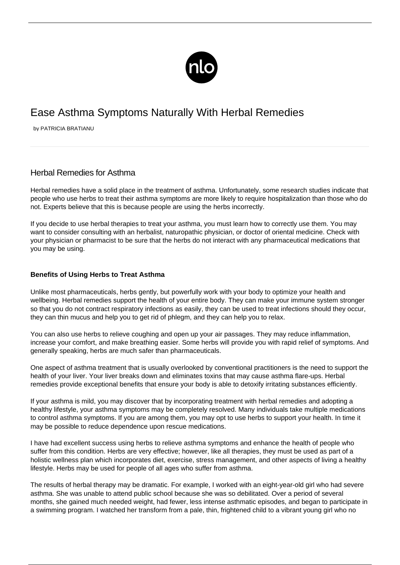

# Ease Asthma Symptoms Naturally With Herbal Remedies

by PATRICIA BRATIANU

## Herbal Remedies for Asthma

Herbal remedies have a solid place in the treatment of asthma. Unfortunately, some research studies indicate that people who use herbs to treat their [asthma symptoms](/symptoms-asthma/) are more likely to require hospitalization than those who do not. Experts believe that this is because people are using the herbs incorrectly.

If you decide to use herbal therapies to treat your asthma, you must learn how to correctly use them. You may want to consider consulting with an herbalist, naturopathic physician, or doctor of oriental medicine. Check with your physician or pharmacist to be sure that the herbs do not interact with any pharmaceutical medications that you may be using.

#### **Benefits of Using Herbs to Treat Asthma**

Unlike most pharmaceuticals, herbs gently, but powerfully work with your body to optimize your health and wellbeing. Herbal remedies support the health of your entire body. They can make your immune system stronger so that you do not contract respiratory infections as easily, they can be used to treat infections should they occur, they can thin mucus and help you to get rid of phlegm, and they can help you to relax.

You can also use herbs to relieve coughing and open up your air passages. They may reduce inflammation, increase your comfort, and make breathing easier. Some herbs will provide you with rapid relief of symptoms. And generally speaking, herbs are much safer than pharmaceuticals.

One aspect of asthma treatment that is usually overlooked by conventional practitioners is the need to support the health of your liver. Your liver breaks down and eliminates toxins that may cause asthma flare-ups. Herbal remedies provide exceptional benefits that ensure your body is able to detoxify irritating substances efficiently.

If your asthma is mild, you may discover that by incorporating treatment with herbal remedies and adopting a healthy lifestyle, your asthma symptoms may be completely resolved. Many individuals take multiple medications to control asthma symptoms. If you are among them, you may opt to use herbs to support your health. In time it may be possible to reduce dependence upon rescue medications.

I have had excellent success using herbs to relieve asthma symptoms and enhance the health of people who suffer from this condition. Herbs are very effective; however, like all therapies, they must be used as part of a holistic wellness plan which incorporates diet, exercise, stress management, and other aspects of living a healthy lifestyle. Herbs may be used for people of all ages who suffer from asthma.

The results of herbal therapy may be dramatic. For example, I worked with an eight-year-old girl who had severe asthma. She was unable to attend public school because she was so debilitated. Over a period of several months, she gained much needed weight, had fewer, less intense asthmatic episodes, and began to participate in a swimming program. I watched her transform from a pale, thin, frightened child to a vibrant young girl who no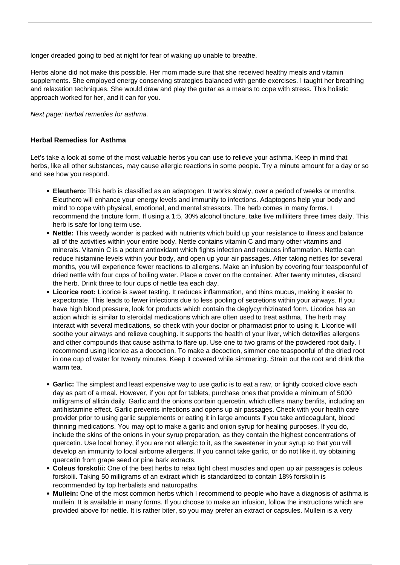longer dreaded going to bed at night for fear of waking up unable to breathe.

Herbs alone did not make this possible. Her mom made sure that she received healthy meals and vitamin supplements. She employed energy conserving strategies balanced with gentle exercises. I taught her breathing and relaxation techniques. She would draw and play the guitar as a means to cope with stress. This holistic approach worked for her, and it can for you.

Next page: herbal remedies for asthma.

#### **Herbal Remedies for Asthma**

Let's take a look at some of the most valuable herbs you can use to relieve your asthma. Keep in mind that herbs, like all other substances, may cause [allergic reactions](/exacerbation-of-asthma-with-exposure-to-allergens/) in some people. Try a minute amount for a day or so and see how you respond.

- **Eleuthero:** This herb is classified as an adaptogen. It works slowly, over a period of weeks or months. Eleuthero will enhance your energy levels and immunity to infections. Adaptogens help your body and mind to cope with physical, emotional, and mental stressors. The herb comes in many forms. I recommend the tincture form. If using a 1:5, 30% alcohol tincture, take five milliliters three times daily. This herb is safe for long term use.
- **Nettle:** This weedy wonder is packed with nutrients which build up your resistance to illness and balance all of the activities within your entire body. Nettle contains vitamin C and many other vitamins and minerals. Vitamin C is a potent antioxidant which fights infection and reduces inflammation. Nettle can reduce histamine levels within your body, and open up your air passages. After taking nettles for several months, you will experience fewer reactions to allergens. Make an infusion by covering four teaspoonful of dried nettle with four cups of boiling water. Place a cover on the container. After twenty minutes, discard the herb. Drink three to four cups of nettle tea each day.
- **Licorice root:** Licorice is sweet tasting. It reduces inflammation, and thins mucus, making it easier to expectorate. This leads to fewer infections due to less pooling of secretions within your airways. If you have high blood pressure, look for products which contain the deglycyrrhizinated form. Licorice has an action which is similar to steroidal medications which are often used to treat asthma. The herb may interact with several medications, so check with your doctor or pharmacist prior to using it. Licorice will soothe your airways and relieve coughing. It supports the health of your liver, which detoxifies allergens and other compounds that cause asthma to flare up. Use one to two grams of the powdered root daily. I recommend using licorice as a decoction. To make a decoction, simmer one teaspoonful of the dried root in one cup of water for twenty minutes. Keep it covered while simmering. Strain out the root and drink the warm tea.
- **Garlic:** The simplest and least expensive way to use garlic is to eat a raw, or lightly cooked clove each day as part of a meal. However, if you opt for tablets, purchase ones that provide a minimum of 5000 milligrams of allicin daily. Garlic and the onions contain quercetin, which offers many benfits, including an antihistamine effect. Garlic prevents infections and opens up air passages. Check with your health care provider prior to using garlic supplements or eating it in large amounts if you take anticoagulant, blood thinning medications. You may opt to make a garlic and onion syrup for healing purposes. If you do, include the skins of the onions in your syrup preparation, as they contain the highest concentrations of quercetin. Use local honey, if you are not allergic to it, as the sweetener in your syrup so that you will develop an immunity to local airborne allergens. If you cannot take garlic, or do not like it, try obtaining quercetin from grape seed or pine bark extracts.
- **Coleus forskolii:** One of the best herbs to relax tight chest muscles and open up air passages is coleus forskolii. Taking 50 milligrams of an extract which is standardized to contain 18% forskolin is recommended by top herbalists and naturopaths.
- **Mullein:** One of the most common herbs which I recommend to people who have a diagnosis of asthma is mullein. It is available in many forms. If you choose to make an infusion, follow the instructions which are provided above for nettle. It is rather biter, so you may prefer an extract or capsules. Mullein is a very